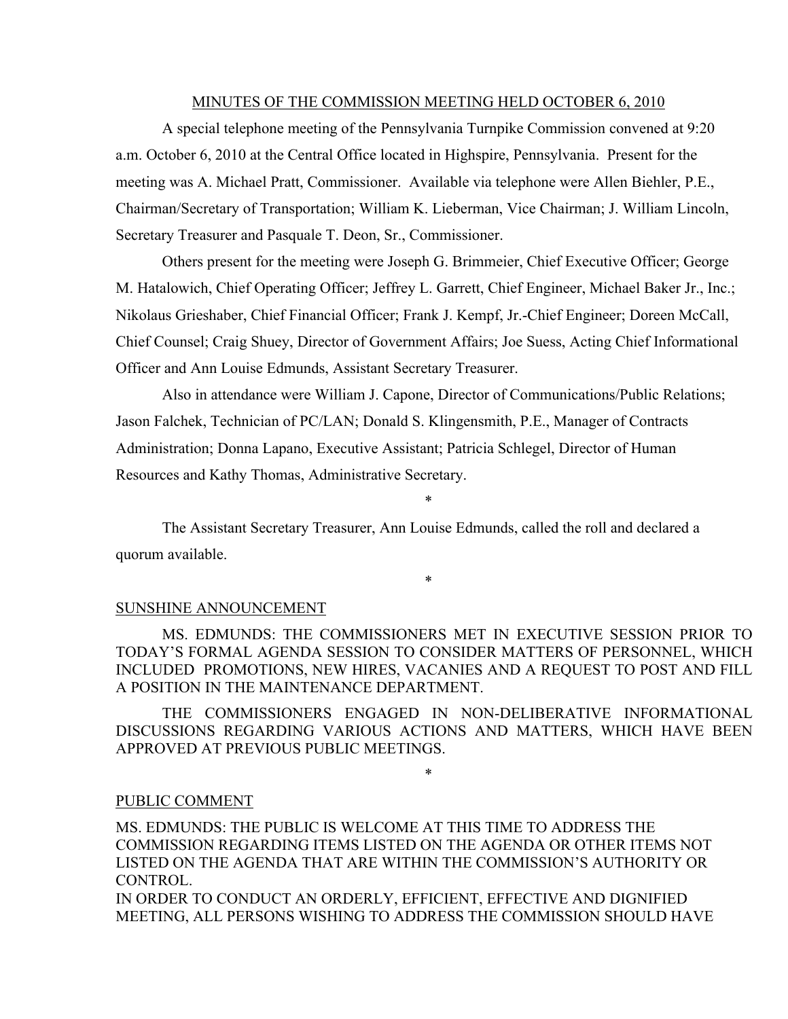#### MINUTES OF THE COMMISSION MEETING HELD OCTOBER 6, 2010

A special telephone meeting of the Pennsylvania Turnpike Commission convened at 9:20 a.m. October 6, 2010 at the Central Office located in Highspire, Pennsylvania. Present for the meeting was A. Michael Pratt, Commissioner. Available via telephone were Allen Biehler, P.E., Chairman/Secretary of Transportation; William K. Lieberman, Vice Chairman; J. William Lincoln, Secretary Treasurer and Pasquale T. Deon, Sr., Commissioner.

Others present for the meeting were Joseph G. Brimmeier, Chief Executive Officer; George M. Hatalowich, Chief Operating Officer; Jeffrey L. Garrett, Chief Engineer, Michael Baker Jr., Inc.; Nikolaus Grieshaber, Chief Financial Officer; Frank J. Kempf, Jr.-Chief Engineer; Doreen McCall, Chief Counsel; Craig Shuey, Director of Government Affairs; Joe Suess, Acting Chief Informational Officer and Ann Louise Edmunds, Assistant Secretary Treasurer.

Also in attendance were William J. Capone, Director of Communications/Public Relations; Jason Falchek, Technician of PC/LAN; Donald S. Klingensmith, P.E., Manager of Contracts Administration; Donna Lapano, Executive Assistant; Patricia Schlegel, Director of Human Resources and Kathy Thomas, Administrative Secretary.

The Assistant Secretary Treasurer, Ann Louise Edmunds, called the roll and declared a quorum available.

#### \*

\*

#### SUNSHINE ANNOUNCEMENT

MS. EDMUNDS: THE COMMISSIONERS MET IN EXECUTIVE SESSION PRIOR TO TODAY'S FORMAL AGENDA SESSION TO CONSIDER MATTERS OF PERSONNEL, WHICH INCLUDED PROMOTIONS, NEW HIRES, VACANIES AND A REQUEST TO POST AND FILL A POSITION IN THE MAINTENANCE DEPARTMENT.

THE COMMISSIONERS ENGAGED IN NON-DELIBERATIVE INFORMATIONAL DISCUSSIONS REGARDING VARIOUS ACTIONS AND MATTERS, WHICH HAVE BEEN APPROVED AT PREVIOUS PUBLIC MEETINGS.

\*

#### PUBLIC COMMENT

MS. EDMUNDS: THE PUBLIC IS WELCOME AT THIS TIME TO ADDRESS THE COMMISSION REGARDING ITEMS LISTED ON THE AGENDA OR OTHER ITEMS NOT LISTED ON THE AGENDA THAT ARE WITHIN THE COMMISSION'S AUTHORITY OR CONTROL. IN ORDER TO CONDUCT AN ORDERLY, EFFICIENT, EFFECTIVE AND DIGNIFIED MEETING, ALL PERSONS WISHING TO ADDRESS THE COMMISSION SHOULD HAVE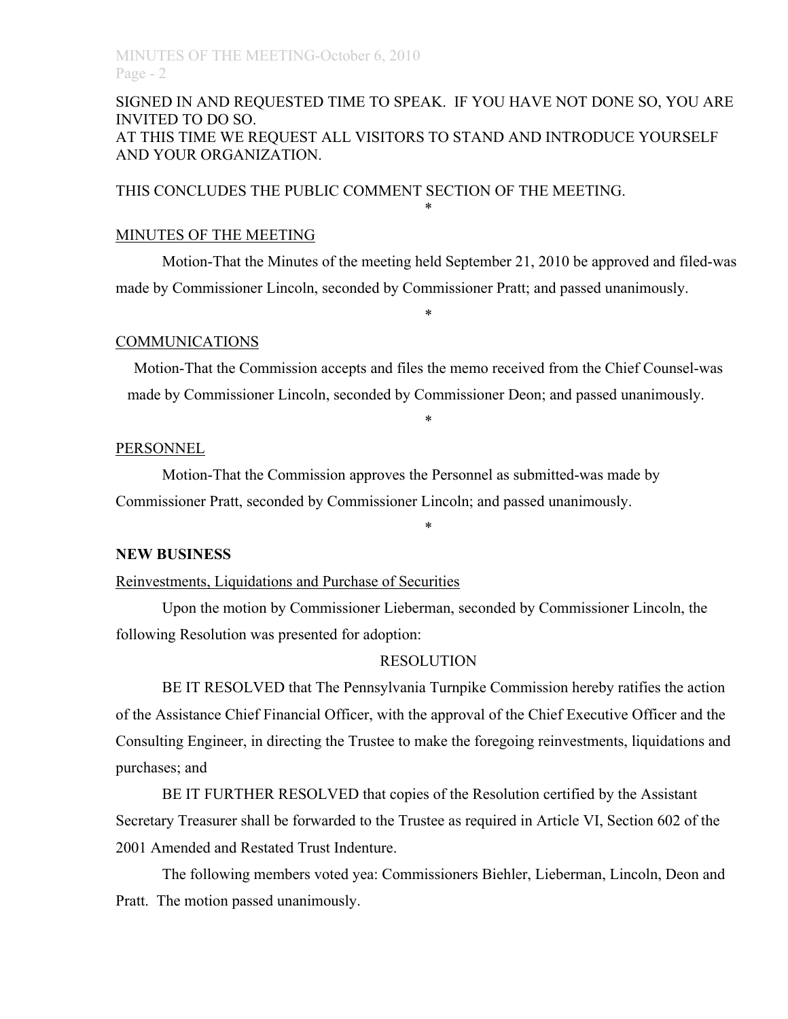# SIGNED IN AND REQUESTED TIME TO SPEAK. IF YOU HAVE NOT DONE SO, YOU ARE INVITED TO DO SO. AT THIS TIME WE REQUEST ALL VISITORS TO STAND AND INTRODUCE YOURSELF AND YOUR ORGANIZATION.

THIS CONCLUDES THE PUBLIC COMMENT SECTION OF THE MEETING.

## MINUTES OF THE MEETING

Motion-That the Minutes of the meeting held September 21, 2010 be approved and filed-was made by Commissioner Lincoln, seconded by Commissioner Pratt; and passed unanimously.

\*

\*

#### COMMUNICATIONS

Motion-That the Commission accepts and files the memo received from the Chief Counsel-was made by Commissioner Lincoln, seconded by Commissioner Deon; and passed unanimously.

\*

\*

#### PERSONNEL

Motion-That the Commission approves the Personnel as submitted-was made by Commissioner Pratt, seconded by Commissioner Lincoln; and passed unanimously.

#### **NEW BUSINESS**

Reinvestments, Liquidations and Purchase of Securities

Upon the motion by Commissioner Lieberman, seconded by Commissioner Lincoln, the following Resolution was presented for adoption:

## RESOLUTION

BE IT RESOLVED that The Pennsylvania Turnpike Commission hereby ratifies the action of the Assistance Chief Financial Officer, with the approval of the Chief Executive Officer and the Consulting Engineer, in directing the Trustee to make the foregoing reinvestments, liquidations and purchases; and

BE IT FURTHER RESOLVED that copies of the Resolution certified by the Assistant Secretary Treasurer shall be forwarded to the Trustee as required in Article VI, Section 602 of the 2001 Amended and Restated Trust Indenture.

The following members voted yea: Commissioners Biehler, Lieberman, Lincoln, Deon and Pratt. The motion passed unanimously.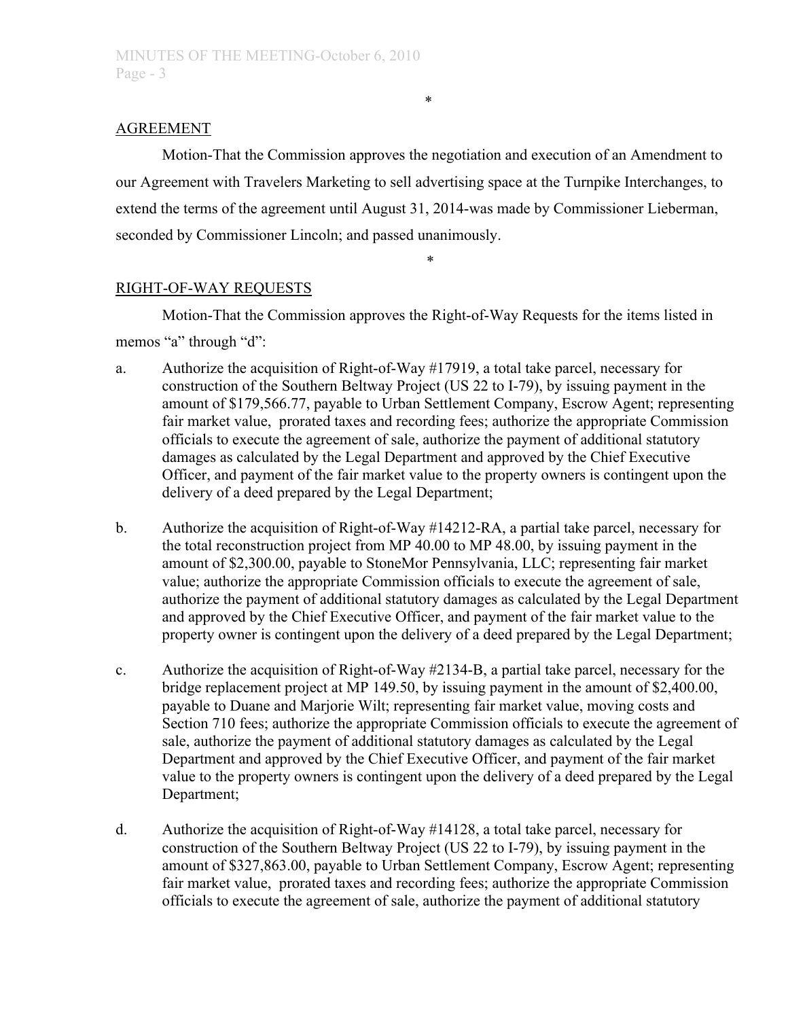## AGREEMENT

Motion-That the Commission approves the negotiation and execution of an Amendment to our Agreement with Travelers Marketing to sell advertising space at the Turnpike Interchanges, to extend the terms of the agreement until August 31, 2014-was made by Commissioner Lieberman, seconded by Commissioner Lincoln; and passed unanimously.

\*

\*

## RIGHT-OF-WAY REQUESTS

Motion-That the Commission approves the Right-of-Way Requests for the items listed in memos "a" through "d":

- a. Authorize the acquisition of Right-of-Way #17919, a total take parcel, necessary for construction of the Southern Beltway Project (US 22 to I-79), by issuing payment in the amount of \$179,566.77, payable to Urban Settlement Company, Escrow Agent; representing fair market value, prorated taxes and recording fees; authorize the appropriate Commission officials to execute the agreement of sale, authorize the payment of additional statutory damages as calculated by the Legal Department and approved by the Chief Executive Officer, and payment of the fair market value to the property owners is contingent upon the delivery of a deed prepared by the Legal Department;
- b. Authorize the acquisition of Right-of-Way #14212-RA, a partial take parcel, necessary for the total reconstruction project from MP 40.00 to MP 48.00, by issuing payment in the amount of \$2,300.00, payable to StoneMor Pennsylvania, LLC; representing fair market value; authorize the appropriate Commission officials to execute the agreement of sale, authorize the payment of additional statutory damages as calculated by the Legal Department and approved by the Chief Executive Officer, and payment of the fair market value to the property owner is contingent upon the delivery of a deed prepared by the Legal Department;
- c. Authorize the acquisition of Right-of-Way #2134-B, a partial take parcel, necessary for the bridge replacement project at MP 149.50, by issuing payment in the amount of \$2,400.00, payable to Duane and Marjorie Wilt; representing fair market value, moving costs and Section 710 fees; authorize the appropriate Commission officials to execute the agreement of sale, authorize the payment of additional statutory damages as calculated by the Legal Department and approved by the Chief Executive Officer, and payment of the fair market value to the property owners is contingent upon the delivery of a deed prepared by the Legal Department;
- d. Authorize the acquisition of Right-of-Way #14128, a total take parcel, necessary for construction of the Southern Beltway Project (US 22 to I-79), by issuing payment in the amount of \$327,863.00, payable to Urban Settlement Company, Escrow Agent; representing fair market value, prorated taxes and recording fees; authorize the appropriate Commission officials to execute the agreement of sale, authorize the payment of additional statutory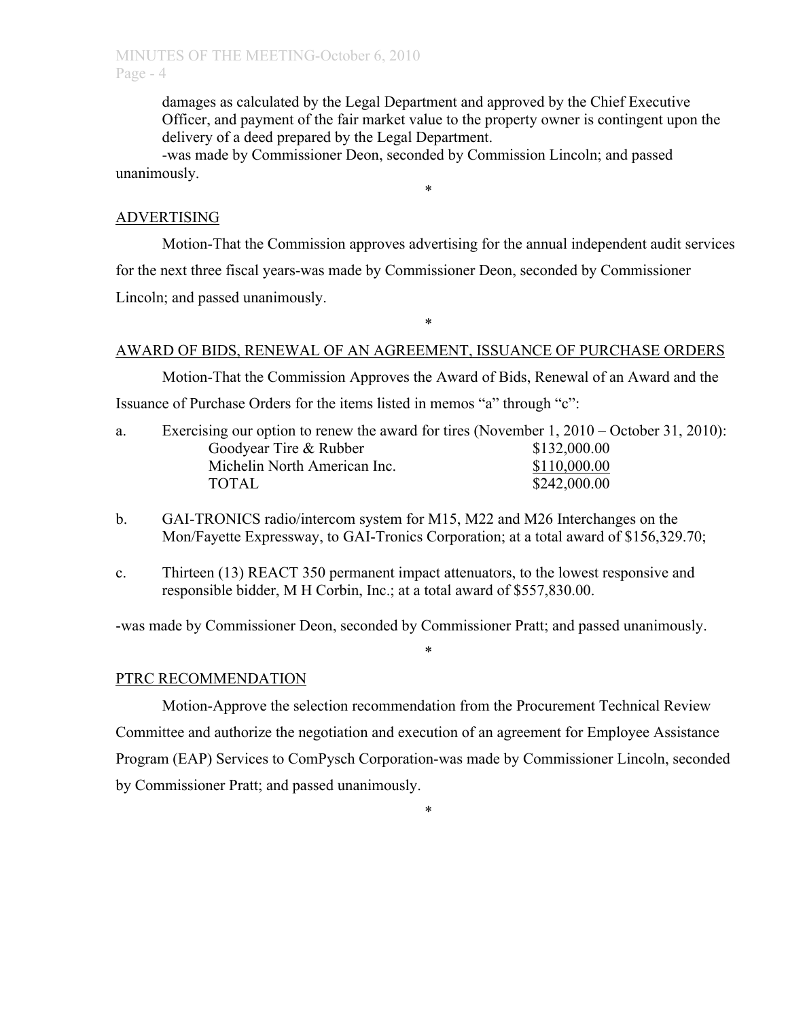damages as calculated by the Legal Department and approved by the Chief Executive Officer, and payment of the fair market value to the property owner is contingent upon the delivery of a deed prepared by the Legal Department.

-was made by Commissioner Deon, seconded by Commission Lincoln; and passed unanimously. \*

# ADVERTISING

Motion-That the Commission approves advertising for the annual independent audit services for the next three fiscal years-was made by Commissioner Deon, seconded by Commissioner Lincoln; and passed unanimously.

\*

## AWARD OF BIDS, RENEWAL OF AN AGREEMENT, ISSUANCE OF PURCHASE ORDERS

Motion-That the Commission Approves the Award of Bids, Renewal of an Award and the Issuance of Purchase Orders for the items listed in memos "a" through "c":

| a. | Exercising our option to renew the award for tires (November 1, $2010 -$ October 31, 2010): |              |
|----|---------------------------------------------------------------------------------------------|--------------|
|    | Goodyear Tire & Rubber                                                                      | \$132,000.00 |
|    | Michelin North American Inc.                                                                | \$110,000.00 |
|    | <b>TOTAL</b>                                                                                | \$242,000.00 |

- b. GAI-TRONICS radio/intercom system for M15, M22 and M26 Interchanges on the Mon/Fayette Expressway, to GAI-Tronics Corporation; at a total award of \$156,329.70;
- c. Thirteen (13) REACT 350 permanent impact attenuators, to the lowest responsive and responsible bidder, M H Corbin, Inc.; at a total award of \$557,830.00.

-was made by Commissioner Deon, seconded by Commissioner Pratt; and passed unanimously.

\*

## PTRC RECOMMENDATION

Motion-Approve the selection recommendation from the Procurement Technical Review Committee and authorize the negotiation and execution of an agreement for Employee Assistance Program (EAP) Services to ComPysch Corporation-was made by Commissioner Lincoln, seconded by Commissioner Pratt; and passed unanimously.

\*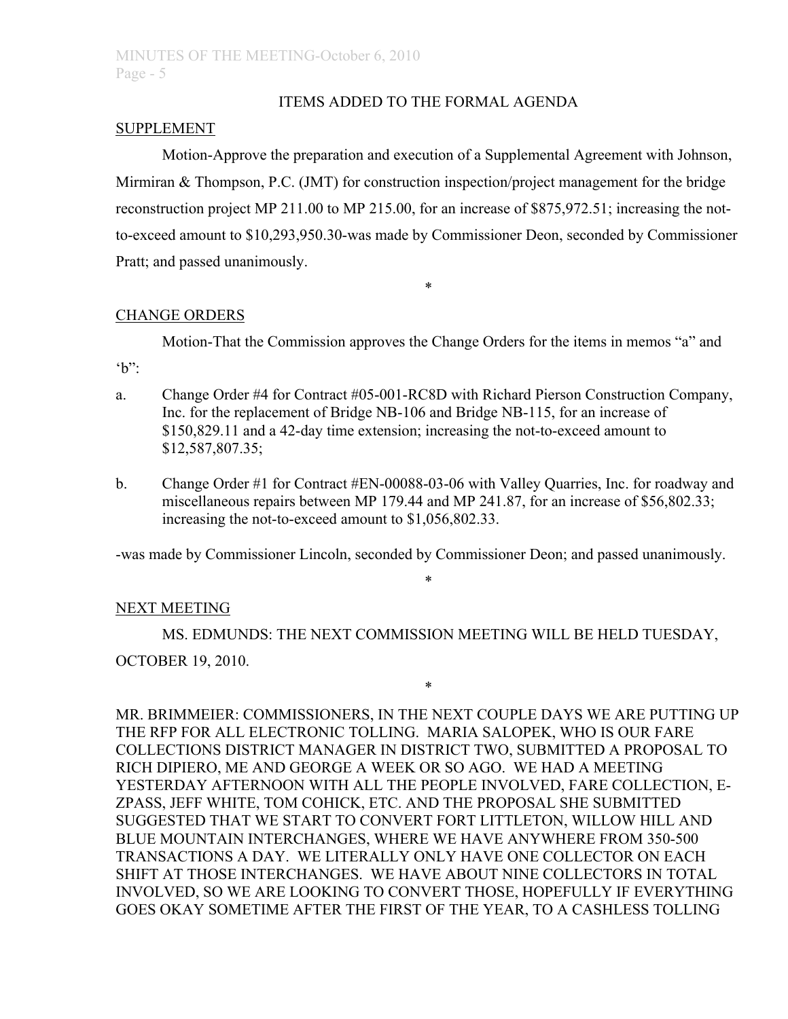# ITEMS ADDED TO THE FORMAL AGENDA

# SUPPLEMENT

Motion-Approve the preparation and execution of a Supplemental Agreement with Johnson, Mirmiran & Thompson, P.C. (JMT) for construction inspection/project management for the bridge reconstruction project MP 211.00 to MP 215.00, for an increase of \$875,972.51; increasing the notto-exceed amount to \$10,293,950.30-was made by Commissioner Deon, seconded by Commissioner Pratt; and passed unanimously.

\*

# CHANGE ORDERS

Motion-That the Commission approves the Change Orders for the items in memos "a" and

 $b$ ":

- a. Change Order #4 for Contract #05-001-RC8D with Richard Pierson Construction Company, Inc. for the replacement of Bridge NB-106 and Bridge NB-115, for an increase of \$150,829.11 and a 42-day time extension; increasing the not-to-exceed amount to \$12,587,807.35;
- b. Change Order #1 for Contract #EN-00088-03-06 with Valley Quarries, Inc. for roadway and miscellaneous repairs between MP 179.44 and MP 241.87, for an increase of \$56,802.33; increasing the not-to-exceed amount to \$1,056,802.33.

-was made by Commissioner Lincoln, seconded by Commissioner Deon; and passed unanimously.

\*

# NEXT MEETING

MS. EDMUNDS: THE NEXT COMMISSION MEETING WILL BE HELD TUESDAY, OCTOBER 19, 2010.

\*

MR. BRIMMEIER: COMMISSIONERS, IN THE NEXT COUPLE DAYS WE ARE PUTTING UP THE RFP FOR ALL ELECTRONIC TOLLING. MARIA SALOPEK, WHO IS OUR FARE COLLECTIONS DISTRICT MANAGER IN DISTRICT TWO, SUBMITTED A PROPOSAL TO RICH DIPIERO, ME AND GEORGE A WEEK OR SO AGO. WE HAD A MEETING YESTERDAY AFTERNOON WITH ALL THE PEOPLE INVOLVED, FARE COLLECTION, E-ZPASS, JEFF WHITE, TOM COHICK, ETC. AND THE PROPOSAL SHE SUBMITTED SUGGESTED THAT WE START TO CONVERT FORT LITTLETON, WILLOW HILL AND BLUE MOUNTAIN INTERCHANGES, WHERE WE HAVE ANYWHERE FROM 350-500 TRANSACTIONS A DAY. WE LITERALLY ONLY HAVE ONE COLLECTOR ON EACH SHIFT AT THOSE INTERCHANGES. WE HAVE ABOUT NINE COLLECTORS IN TOTAL INVOLVED, SO WE ARE LOOKING TO CONVERT THOSE, HOPEFULLY IF EVERYTHING GOES OKAY SOMETIME AFTER THE FIRST OF THE YEAR, TO A CASHLESS TOLLING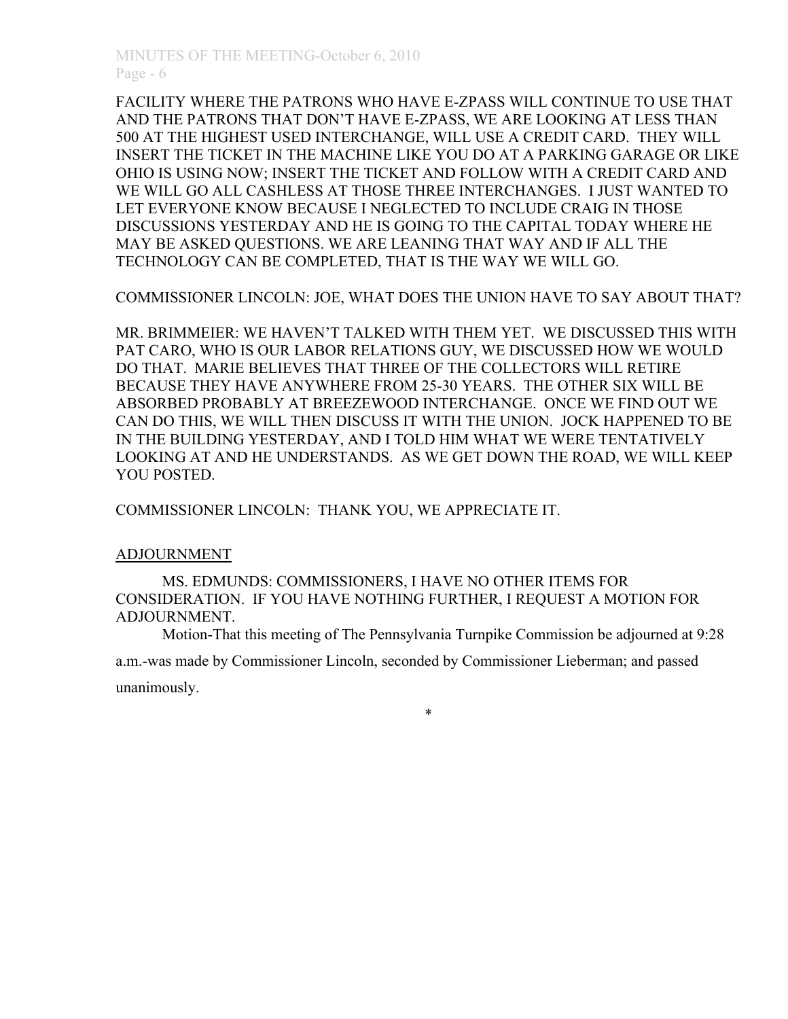FACILITY WHERE THE PATRONS WHO HAVE E-ZPASS WILL CONTINUE TO USE THAT AND THE PATRONS THAT DON'T HAVE E-ZPASS, WE ARE LOOKING AT LESS THAN 500 AT THE HIGHEST USED INTERCHANGE, WILL USE A CREDIT CARD. THEY WILL INSERT THE TICKET IN THE MACHINE LIKE YOU DO AT A PARKING GARAGE OR LIKE OHIO IS USING NOW; INSERT THE TICKET AND FOLLOW WITH A CREDIT CARD AND WE WILL GO ALL CASHLESS AT THOSE THREE INTERCHANGES. I JUST WANTED TO LET EVERYONE KNOW BECAUSE I NEGLECTED TO INCLUDE CRAIG IN THOSE DISCUSSIONS YESTERDAY AND HE IS GOING TO THE CAPITAL TODAY WHERE HE MAY BE ASKED QUESTIONS. WE ARE LEANING THAT WAY AND IF ALL THE TECHNOLOGY CAN BE COMPLETED, THAT IS THE WAY WE WILL GO.

COMMISSIONER LINCOLN: JOE, WHAT DOES THE UNION HAVE TO SAY ABOUT THAT?

MR. BRIMMEIER: WE HAVEN'T TALKED WITH THEM YET. WE DISCUSSED THIS WITH PAT CARO, WHO IS OUR LABOR RELATIONS GUY, WE DISCUSSED HOW WE WOULD DO THAT. MARIE BELIEVES THAT THREE OF THE COLLECTORS WILL RETIRE BECAUSE THEY HAVE ANYWHERE FROM 25-30 YEARS. THE OTHER SIX WILL BE ABSORBED PROBABLY AT BREEZEWOOD INTERCHANGE. ONCE WE FIND OUT WE CAN DO THIS, WE WILL THEN DISCUSS IT WITH THE UNION. JOCK HAPPENED TO BE IN THE BUILDING YESTERDAY, AND I TOLD HIM WHAT WE WERE TENTATIVELY LOOKING AT AND HE UNDERSTANDS. AS WE GET DOWN THE ROAD, WE WILL KEEP YOU POSTED.

COMMISSIONER LINCOLN: THANK YOU, WE APPRECIATE IT.

## ADJOURNMENT

MS. EDMUNDS: COMMISSIONERS, I HAVE NO OTHER ITEMS FOR CONSIDERATION. IF YOU HAVE NOTHING FURTHER, I REQUEST A MOTION FOR ADJOURNMENT.

Motion-That this meeting of The Pennsylvania Turnpike Commission be adjourned at 9:28

a.m.-was made by Commissioner Lincoln, seconded by Commissioner Lieberman; and passed unanimously.

\*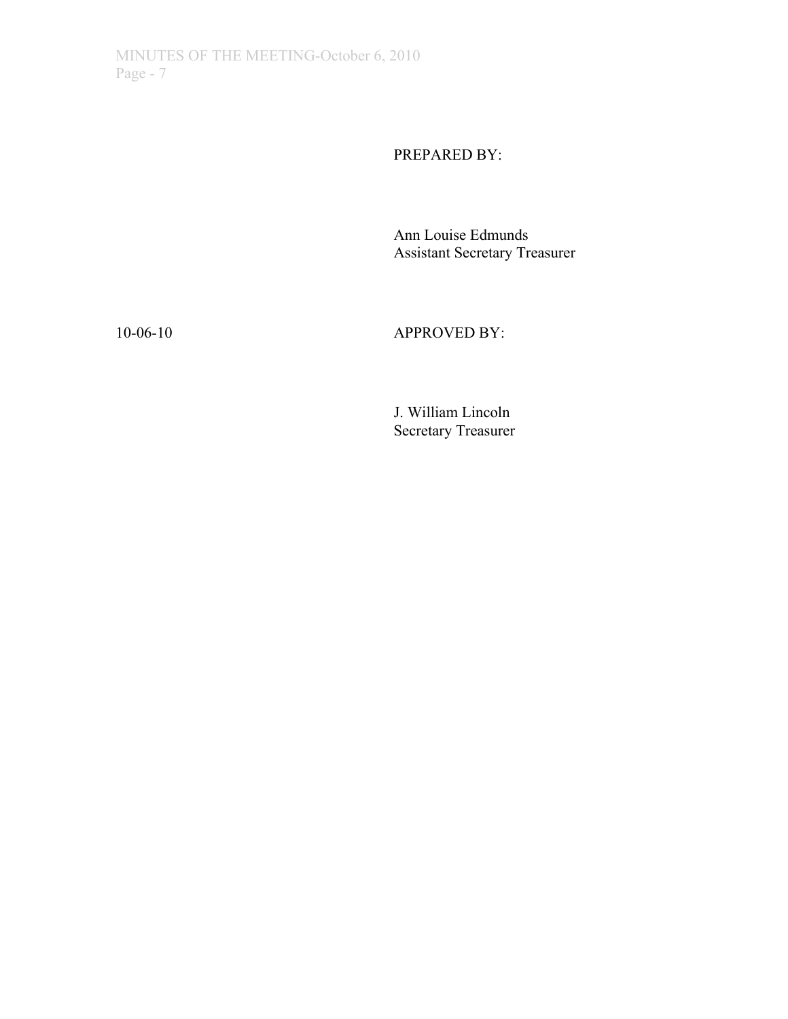PREPARED BY:

Ann Louise Edmunds Assistant Secretary Treasurer

10-06-10 APPROVED BY:

J. William Lincoln Secretary Treasurer